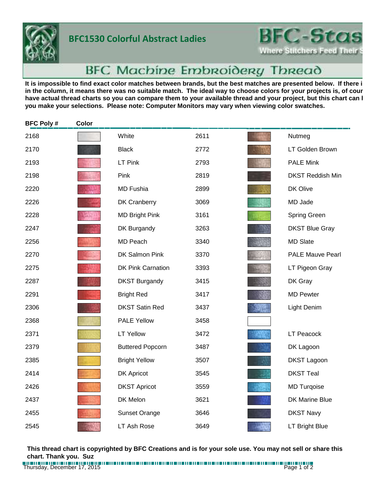

## **BFC1530 Colorful Abstract Ladies**

**BFC-Stas Where Stitchers Feed Their** 

## **BFC Machine Embroidery Thread**

It is impossible to find exact color matches between brands, but the best matches are presented below. If there i in the column, it means there was no suitable match. The ideal way to choose colors for your projects is, of cour have actual thread charts so you can compare them to your available thread and your project, but this chart can l **you make your selections. Please note: Computer Monitors may vary when viewing color swatches.**

| <b>BFC Poly#</b> | Color |                          |      |                         |
|------------------|-------|--------------------------|------|-------------------------|
| 2168             |       | White                    | 2611 | Nutmeg                  |
| 2170             |       | <b>Black</b>             | 2772 | LT Golden Brown         |
| 2193             |       | LT Pink                  | 2793 | <b>PALE Mink</b>        |
| 2198             |       | Pink                     | 2819 | <b>DKST Reddish Min</b> |
| 2220             |       | <b>MD Fushia</b>         | 2899 | DK Olive                |
| 2226             |       | DK Cranberry             | 3069 | MD Jade                 |
| 2228             |       | <b>MD Bright Pink</b>    | 3161 | Spring Green            |
| 2247             |       | DK Burgandy              | 3263 | <b>DKST Blue Gray</b>   |
| 2256             |       | MD Peach                 | 3340 | <b>MD Slate</b>         |
| 2270             |       | DK Salmon Pink           | 3370 | <b>PALE Mauve Pearl</b> |
| 2275             |       | <b>DK Pink Carnation</b> | 3393 | LT Pigeon Gray          |
| 2287             |       | <b>DKST Burgandy</b>     | 3415 | DK Gray                 |
| 2291             |       | <b>Bright Red</b>        | 3417 | <b>MD Pewter</b>        |
| 2306             |       | <b>DKST Satin Red</b>    | 3437 | Light Denim             |
| 2368             |       | <b>PALE Yellow</b>       | 3458 |                         |
| 2371             |       | <b>LT Yellow</b>         | 3472 | <b>LT Peacock</b>       |
| 2379             |       | <b>Buttered Popcorn</b>  | 3487 | DK Lagoon               |
| 2385             |       | <b>Bright Yellow</b>     | 3507 | <b>DKST Lagoon</b>      |
| 2414             |       | DK Apricot               | 3545 | <b>DKST Teal</b>        |
| 2426             |       | <b>DKST Apricot</b>      | 3559 | <b>MD Turqoise</b>      |
| 2437             |       | DK Melon                 | 3621 | <b>DK Marine Blue</b>   |
| 2455             |       | <b>Sunset Orange</b>     | 3646 | <b>DKST Navy</b>        |
| 2545             |       | LT Ash Rose              | 3649 | LT Bright Blue          |

**This thread chart is copyrighted by BFC Creations and is for your sole use. You may not sell or share this chart. Thank you. Suz**